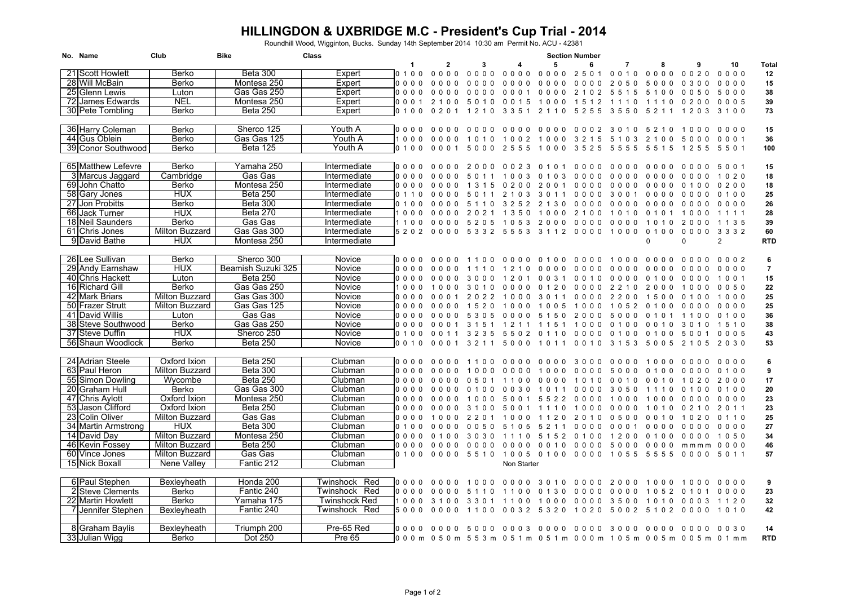## **HILLINGDON & UXBRIDGE M.C - President's Cup Trial - 2014**

Roundhill Wood, Wigginton, Bucks. Sunday 14th September 2014 10:30 am Permit No. ACU - 42381

| No. Name            | Club                  | <b>Bike</b>        | Class                |                          |                          |                                                   |                                  |                                        |                                        | <b>Section Number</b>                  |                          |                                    |                          |                |                |
|---------------------|-----------------------|--------------------|----------------------|--------------------------|--------------------------|---------------------------------------------------|----------------------------------|----------------------------------------|----------------------------------------|----------------------------------------|--------------------------|------------------------------------|--------------------------|----------------|----------------|
|                     |                       |                    |                      |                          | -1                       | $\mathbf{2}$                                      | з                                |                                        | 5                                      | 6                                      | 7                        |                                    | 9                        | 10             | Total          |
| 21 Scott Howlett    | Berko                 | <b>Beta 300</b>    | Expert               |                          | 0 1 0 0                  | 0000                                              | $0000$                           | 0000                                   | 0000                                   | 2501                                   | 0010                     | 0000                               | 0020                     | $0000$         | 12             |
| 28 Will McBain      | Berko                 | Montesa 250        | Expert               |                          | 0000                     | 0000                                              | 0<br>000                         | $\Omega$<br>0 <sub>0</sub><br>$\Omega$ | $0\quad 0\quad 0\quad 0$               | 0 <sub>0</sub><br>0 <sub>0</sub>       | 2 0 5<br>$\Omega$        | 5000                               | 0300                     | 0000           | 15             |
| 25 Glenn Lewis      | Luton                 | Gas Gas 250        | Expert               |                          | 0000                     | 0000                                              | $\Omega$<br>000                  | 000                                    | 0000                                   | 2 1 0 2                                | 5 5 1 5                  | 5100                               | 0050                     | 5000           | 38             |
| 72 James Edwards    | <b>NEL</b>            | Montesa 250        | Expert               |                          | 0 0 0 1                  | 2 1 0 0                                           | 5010                             | 0 0 1 5                                | 1000                                   | 1512                                   | 1110                     | 1110                               | 0200                     | 0005           | 39             |
| 30 Pete Tombling    | Berko                 | <b>Beta 250</b>    | Expert               |                          | 0 1 0 0                  | 0 2 0 1                                           | 1 2 1 0                          | 3 3 5 1                                | 2 1 1 0                                | 5255                                   | 3550                     | 5 2 1 1                            | 1 2 0 3                  | 3100           | 73             |
|                     |                       |                    |                      |                          |                          |                                                   |                                  |                                        |                                        |                                        |                          |                                    |                          |                |                |
| 36 Harry Coleman    | Berko                 | Sherco 125         | Youth A              |                          | 0000                     | 0000                                              | 0000                             | 0000                                   | 0000                                   |                                        | 00023010                 | 5 2 1 0                            | 1000                     | $0000$         | 15             |
| 44 Gus Oblein       | Berko                 | Gas Gas 125        | Youth A              |                          | 1000                     | 0000                                              | 1010                             |                                        | 1002 1000 3215 5103                    |                                        |                          | 2 1 0 0                            | 5000                     | 0001           | 36             |
| 39 Conor Southwood  | Berko                 | <b>Beta 125</b>    | Youth A              |                          | 0, 1, 0, 0               | 0001                                              |                                  |                                        | 5000 2555 1000 3525 5555               |                                        |                          | 5 5 1 5                            | 1 2 5 5                  | 5501           | 100            |
|                     |                       |                    |                      |                          |                          |                                                   |                                  |                                        |                                        |                                        |                          |                                    |                          |                |                |
| 65 Matthew Lefevre  | <b>Berko</b>          | Yamaha 250         | Intermediate         | $0\quad 0\quad 0\quad 0$ |                          | $0\quad 0\quad 0\quad 0$                          | 2000                             | 0023                                   | 0101                                   | $0\quad 0\quad 0\quad 0$               | $0000$                   | $0\quad 0\quad 0\quad 0$           | 0000                     | 5 0 0 1        | 15             |
| 3 Marcus Jaggard    | Cambridge             | Gas Gas            | <b>Intermediate</b>  | $0\quad 0\quad 0\quad 0$ |                          | 0 <sub>0</sub><br>0 <sub>0</sub>                  | 50                               | 100<br>-3                              | 0, 1, 0, 3                             | 0000                                   | 0000                     | $0\quad 0\quad 0\quad 0$           | 0000                     | 1 0 2 0        | 18             |
| 69 John Chatto      | Berko                 | Montesa 250        | Intermediate         | $0\quad 0\quad 0\quad 0$ |                          | 0000                                              | 1 3 1 5                          | 0200                                   | 2001                                   | 0000                                   | 0000                     | $0000$                             | 0100                     | 0200           | 18             |
| 58 Gary Jones       | <b>HUX</b>            | <b>Beta 250</b>    | Intermediate         |                          | 0 1 1 0                  | $0000$                                            | 50<br>1 1                        | 2 1 0 3                                | 3 0 1 1                                | $0000$                                 | 3001                     | $0\quad 0\quad 0\quad 0$           | 0000                     |                |                |
|                     | Berko                 | <b>Beta 300</b>    |                      |                          |                          |                                                   |                                  |                                        |                                        |                                        |                          |                                    |                          | 0100           | 25             |
| 27 Jon Probitts     | <b>HUX</b>            | <b>Beta 270</b>    | Intermediate         | 0, 1, 0, 0<br>1000       |                          |                                                   | 5<br>110                         | 3 2 5<br>2                             | 2<br>130                               | $0000$                                 | $0\quad 0\quad 0\quad 0$ | $0\quad 0\quad 0\quad 0$           | $0\quad 0\quad 0\quad 0$ | 0000           | 26             |
| 66 Jack Turner      |                       |                    | Intermediate         |                          |                          | $\Omega$<br>000                                   | 2021                             | 1 3 5 0                                | 1000                                   | 2 1 0 0                                | 1010                     | 0 1 0 1                            | 1000                     | 1 1 1 1        | 28             |
| 18 Neil Saunders    | Berko                 | Gas Gas            | Intermediate         | 1100                     |                          | $\Omega$<br>000                                   | 5205                             | 1 0 5 3                                | 2000                                   | 0000                                   | 0000                     | 1010                               | 2000                     | 1 1 3 5        | 39             |
| 61 Chris Jones      | Milton Buzzard        | Gas Gas 300        | Intermediate         |                          | 5 2 0 2                  | 0000                                              | 5 3 3 2                          | 5553                                   | 31120000                               |                                        | 1000                     | 0 1 0 0                            | 0000                     | 3 3 3 2        | 60             |
| 9 David Bathe       | <b>HUX</b>            | Montesa 250        | Intermediate         |                          |                          |                                                   |                                  |                                        |                                        |                                        |                          | $\Omega$                           | $\Omega$                 | $\overline{2}$ | <b>RTD</b>     |
|                     |                       |                    |                      |                          |                          |                                                   |                                  |                                        |                                        |                                        |                          |                                    |                          |                |                |
| 26 Lee Sullivan     | <b>Berko</b>          | Sherco 300         | Novice               |                          | 0000                     | 0000                                              | 1100                             | 0000                                   | 0100                                   | 0000                                   | 1000                     | 0000                               | 0000                     | 0002           | 6              |
| 29 Andy Earnshaw    | <b>HUX</b>            | Beamish Suzuki 325 | Novice               | 0000                     |                          | $\Omega$<br>$\Omega$                              |                                  | 2<br>0                                 | 0 <sub>0</sub><br>$\Omega$<br>$\Omega$ | 0 <sub>0</sub><br>$\Omega$<br>$\Omega$ | 0000                     | $0000$                             | 0000                     | 0000           | $\overline{7}$ |
| 40 Chris Hackett    | Luton                 | <b>Beta 250</b>    | Novice               | 0000                     |                          | $\Omega$                                          | 0 <sub>0</sub>                   | 1 2<br>0 <sub>1</sub>                  | 0 0 3 1                                | 0010                                   | 0000                     | 0100                               | 0000                     | 1001           | 15             |
| 16 Richard Gill     | Berko                 | Gas Gas 250        | Novice               |                          | 1000                     | 1000                                              | 30<br>10                         | $0000$                                 | 0120                                   |                                        | 00002210                 | 2000                               | 1000                     | 0050           | 22             |
| 42 Mark Briars      | Milton Buzzard        | Gas Gas 300        | Novice               |                          | 0000                     | 0001                                              | 2022                             | 1000                                   | 3 0 1 1                                | 0000                                   | 2200                     | 1500                               | 0100                     | 1000           | 25             |
| 50 Frazer Strutt    | <b>Milton Buzzard</b> | Gas Gas 125        | <b>Novice</b>        |                          | $0\quad 0\quad 0\quad 0$ | $0000$                                            | 1520                             | 1000                                   | 1005                                   | 1000                                   | 1 0 5 2                  | 0100                               | 0000                     | 0000           | 25             |
| 41 David Willis     | Luton                 | Gas Gas            | Novice               | 0000                     |                          | 0 <sub>0</sub><br>0 <sub>0</sub>                  | 0 <sub>5</sub><br>53             | 0 <sub>0</sub><br>0 <sub>0</sub>       | 5 1 5 0                                | 2000                                   | 5000                     | 0 1 0                              | 1100                     | 0100           | 36             |
| 38 Steve Southwood  | <b>Berko</b>          | Gas Gas 250        | Novice               | $0000$                   |                          | 0001                                              | 3 1 5 1                          | 1211                                   | 1 1 5 1                                | 1000                                   | 0100                     | 0 0 1 0                            | 3010                     | 1510           | 38             |
| 37 Steve Duffin     | <b>HUX</b>            | Sherco 250         | Novice               | 0, 1, 0, 0               |                          | $\Omega$<br>$\Omega$<br>11                        | 3 2 3 5                          | 5502                                   | $\Omega$<br>110                        | 0000                                   | 0100                     | 0 1 0 0                            | -5<br>0 0 1              | 0005           | 43             |
| 56 Shaun Woodlock   | Berko                 | <b>Beta 250</b>    | Novice               | 0 0 1 0                  |                          | 0001                                              | 3 2 1 1                          | 5000                                   | 1011                                   | 0010                                   | 3 1 5 3                  | 5005                               | 2 1 0 5                  | 2030           | 53             |
|                     |                       |                    |                      |                          |                          |                                                   |                                  |                                        |                                        |                                        |                          |                                    |                          |                |                |
| 24 Adrian Steele    | Oxford Ixion          | <b>Beta 250</b>    | Clubman              | $0\quad 0\quad 0\quad 0$ |                          | 0 <sub>0</sub>                                    | $\Omega$<br>- 0                  | 000<br>$\Omega$                        | $\Omega$<br>$\Omega$<br>$\Omega$       | 30<br>0 <sub>0</sub>                   | 000<br>$\Omega$          | 1000                               | $\Omega$<br>000          | $0000$         | 6              |
| 63 Paul Heron       | <b>Milton Buzzard</b> | <b>Beta 300</b>    | Clubman              | 0000                     |                          | 0 <sub>0</sub>                                    | 000                              | 0000                                   | 1000                                   | 0000                                   | 5000                     | 0100                               | 0000                     | 0 1 0 0        | 9              |
| 55 Simon Dowling    | Wycombe               | <b>Beta 250</b>    | Clubman              | $0\quad 0\quad 0\quad 0$ |                          | $\Omega$<br><u>በበበ</u>                            | 0 <sub>1</sub><br>$\Omega$<br>-5 | $\Omega$<br>- 0                        | n n<br>$\Omega$<br>$\Omega$            | 1010                                   | 0010                     | 0010                               | 1020                     | 2000           | 17             |
| 20 Graham Hull      | Berko                 | Gas Gas 300        | Clubman              | 0000                     |                          |                                                   |                                  | 030                                    | 10                                     | 0 <sub>0</sub><br>0 <sub>0</sub>       | 3050                     | 1110                               | 0<br>100                 | 0 1 0 0        | 20             |
| 47 Chris Aylott     | Oxford Ixion          | Montesa 250        | Clubman              | 0000                     |                          | 0000                                              | 1000                             | 5001                                   |                                        | 5522 0000                              | 100<br>0                 | 1000                               | 0000                     | $0000$         | 23             |
| 53 Jason Clifford   | Oxford Ixion          | <b>Beta 250</b>    | Clubman              | 0000                     |                          | 0000                                              | 3<br>100                         | .5 O<br>$\Omega$                       | $\Omega$<br>111                        | 1000                                   | 0000                     | 1010                               | 0 2 1 0                  | 2 0 1 1        | 23             |
| 23 Colin Oliver     | Milton Buzzard        | Gas Gas            | Clubman              | 0000                     |                          | 1000                                              | 2 2 0 1                          | 1000                                   | 1120                                   | 2010                                   | 0500                     | 0 0 1 0                            | 1020                     | 0 1 1 0        | 25             |
| 34 Martin Armstrong | <b>HUX</b>            | <b>Beta 300</b>    | Clubman              | 0 1 0 0                  |                          | 0000                                              | 0 <sub>0</sub><br>50             | 5 1 0 5                                | 5 2 1 1                                | 0000                                   | 0001                     | 0000                               | 0000                     | 0000           | 27             |
| 14 David Day        | <b>Milton Buzzard</b> | Montesa 250        | Clubman              | 0000                     |                          | _ი ი                                              | 3030                             | 1110                                   | 5 1 5 2                                | 0100                                   | 1200                     | 0100                               | 0000                     | 1050           | 34             |
| 46 Kevin Fossey     | Milton Buzzard        | <b>Beta 250</b>    | Clubman              | $0\quad 0\quad 0\quad 0$ |                          | 0000                                              | 0000                             | 0000                                   | 0010                                   | 0000                                   | 5000                     | $0000$                             | m m m m                  | 0000           | 46             |
| 60 Vince Jones      | Milton Buzzard        | Gas Gas            | Clubman              |                          | 0 1 0 0                  | 0000                                              |                                  |                                        | 5510 1005 0100 0000 1055               |                                        |                          | 5555                               | 0000                     | 5 0 1 1        | 57             |
| 15 Nick Boxall      | Nene Valley           | Fantic 212         | Clubman              |                          |                          |                                                   |                                  | Non Starter                            |                                        |                                        |                          |                                    |                          |                |                |
|                     |                       |                    |                      |                          |                          |                                                   |                                  |                                        |                                        |                                        |                          |                                    |                          |                |                |
| 6 Paul Stephen      | Bexleyheath           | Honda 200          | Twinshock Red        | 0000                     |                          | $\Omega$<br>000                                   | 1000                             | 0000                                   | 3010                                   | 0000                                   | 2000                     | 1000                               | 1000                     | $0000$         | 9              |
| 2 Steve Clements    | Berko                 | Fantic 240         | Red<br>Twinshock     | $0\quad 0\quad 0\quad 0$ |                          | $\Omega$                                          | 5                                | 0<br>- 0                               | $\Omega$<br>30                         | 0000                                   | $0000$                   | 1 0 5 2                            | 0 1 0 1                  | 0000           | 23             |
| 22 Martin Howlett   | Berko                 | Yamaha 175         | <b>Twinshock Red</b> |                          | 1000                     | 3100                                              | 3301                             | 1100                                   | 1000                                   | 0000                                   | 3500                     | 1010                               | $0003$                   | 1120           | 32             |
| 7 Jennifer Stephen  | Bexleyheath           | Fantic 240         | Twinshock Red        |                          | 5000                     | 0000                                              |                                  |                                        | 1100 0032 5320                         | 1020                                   |                          | 5002 5102 0000                     |                          | 1010           | 42             |
|                     |                       |                    |                      |                          |                          |                                                   |                                  |                                        |                                        |                                        |                          |                                    |                          |                |                |
| 8 Graham Baylis     | Bexleyheath           | Triumph 200        | Pre-65 Red           |                          |                          | 00000000                                          |                                  |                                        |                                        |                                        |                          | 5000 0003 0000 0000 3000 0000 0000 |                          | 0030           | 14             |
| 33 Julian Wigg      | Berko                 | Dot 250            | <b>Pre 65</b>        |                          |                          |                                                   |                                  |                                        |                                        |                                        |                          |                                    |                          |                | <b>RTD</b>     |
|                     |                       |                    |                      |                          |                          | 000m 050m 553m 051m 051m 000m 105m 005m 005m 01mm |                                  |                                        |                                        |                                        |                          |                                    |                          |                |                |